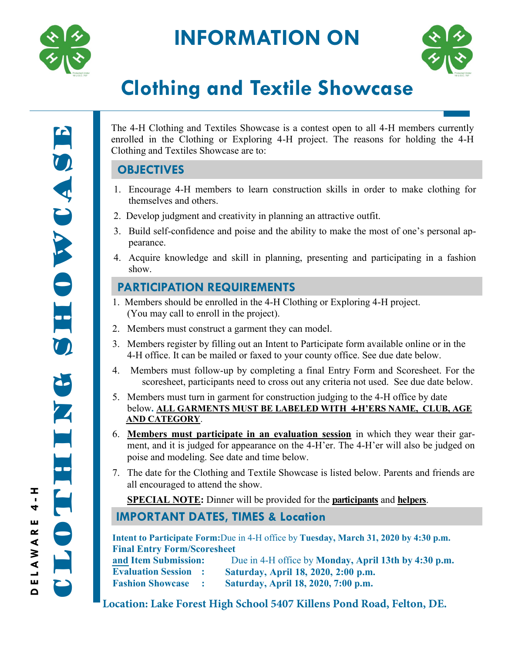

# **INFORMATION ON**



# **Clothing and Textile Showcase**

Clothing showcase OWCASE S HI 2. Z  $\blacksquare$ E 

The 4-H Clothing and Textiles Showcase is a contest open to all 4-H members currently enrolled in the Clothing or Exploring 4-H project. The reasons for holding the 4-H Clothing and Textiles Showcase are to:

## **OBJECTIVES**

- 1. Encourage 4-H members to learn construction skills in order to make clothing for themselves and others.
- 2. Develop judgment and creativity in planning an attractive outfit.
- 3. Build self-confidence and poise and the ability to make the most of one's personal appearance.
- 4. Acquire knowledge and skill in planning, presenting and participating in a fashion show.

## **PARTICIPATION REQUIREMENTS**

- 1. Members should be enrolled in the 4-H Clothing or Exploring 4-H project. (You may call to enroll in the project).
- 2. Members must construct a garment they can model.
- 3. Members register by filling out an Intent to Participate form available online or in the 4-H office. It can be mailed or faxed to your county office. See due date below.
- 4. Members must follow-up by completing a final Entry Form and Scoresheet. For the scoresheet, participants need to cross out any criteria not used. See due date below.
- 5. Members must turn in garment for construction judging to the 4-H office by date below**. ALL GARMENTS MUST BE LABELED WITH 4-H'ERS NAME, CLUB, AGE AND CATEGORY**.
- 6. **Members must participate in an evaluation session** in which they wear their garment, and it is judged for appearance on the 4-H'er. The 4-H'er will also be judged on poise and modeling. See date and time below.
- 7. The date for the Clothing and Textile Showcase is listed below. Parents and friends are all encouraged to attend the show.

**SPECIAL NOTE:** Dinner will be provided for the **participants** and **helpers**.

## **IMPORTANT DATES, TIMES & Location**

**Intent to Participate Form:**Due in 4-H office by **Tuesday, March 31, 2020 by 4:30 p.m. Final Entry Form/Scoresheet**

| and Item Submission:      | Due in 4-H office by Monday, April 13th by 4:30 p.m. |
|---------------------------|------------------------------------------------------|
| <b>Evaluation Session</b> | Saturday, April 18, 2020, 2:00 p.m.                  |
| <b>Fashion Showcase</b>   | Saturday, April 18, 2020, 7:00 p.m.                  |

**Location: Lake Forest High School 5407 Killens Pond Road, Felton, DE.**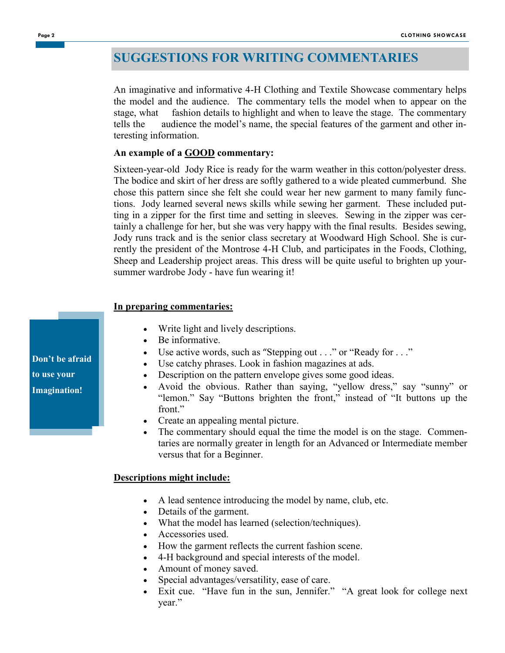## **SUGGESTIONS FOR WRITING COMMENTARIES**

An imaginative and informative 4-H Clothing and Textile Showcase commentary helps the model and the audience. The commentary tells the model when to appear on the stage, what fashion details to highlight and when to leave the stage. The commentary tells the audience the model's name, the special features of the garment and other interesting information.

#### **An example of a GOOD commentary:**

Sixteen-year-old Jody Rice is ready for the warm weather in this cotton/polyester dress. The bodice and skirt of her dress are softly gathered to a wide pleated cummerbund. She chose this pattern since she felt she could wear her new garment to many family functions. Jody learned several news skills while sewing her garment. These included putting in a zipper for the first time and setting in sleeves. Sewing in the zipper was certainly a challenge for her, but she was very happy with the final results. Besides sewing, Jody runs track and is the senior class secretary at Woodward High School. She is currently the president of the Montrose 4-H Club, and participates in the Foods, Clothing, Sheep and Leadership project areas. This dress will be quite useful to brighten up yoursummer wardrobe Jody - have fun wearing it!

#### **In preparing commentaries:**

- Write light and lively descriptions.
- Be informative.
- Use active words, such as "Stepping out . . ." or "Ready for . . ."
- Use catchy phrases. Look in fashion magazines at ads.
- Description on the pattern envelope gives some good ideas.
- Avoid the obvious. Rather than saying, "yellow dress," say "sunny" or "lemon." Say "Buttons brighten the front," instead of "It buttons up the front."
- Create an appealing mental picture.
- The commentary should equal the time the model is on the stage. Commentaries are normally greater in length for an Advanced or Intermediate member versus that for a Beginner.

#### **Descriptions might include:**

- A lead sentence introducing the model by name, club, etc.
- Details of the garment.
- What the model has learned (selection/techniques).
- Accessories used.
- How the garment reflects the current fashion scene.
- 4-H background and special interests of the model.
- Amount of money saved.
- Special advantages/versatility, ease of care.
- Exit cue. "Have fun in the sun, Jennifer." "A great look for college next year."

**Don't be afraid to use your Imagination!**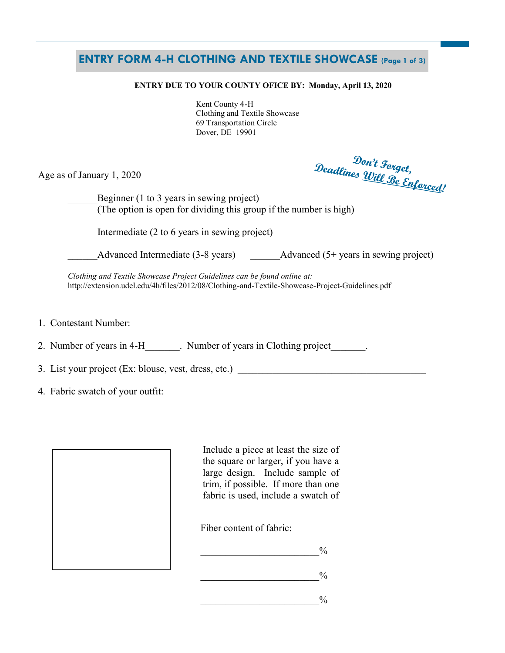### **ENTRY FORM 4-H CLOTHING AND TEXTILE SHOWCASE (Page 1 of 3)**

#### **ENTRY DUE TO YOUR COUNTY OFICE BY: Monday, April 13, 2020**

 Kent County 4-H Clothing and Textile Showcase 69 Transportation Circle Dover, DE 19901

Age as of January  $1, 2020$ 

Den't Forget,<br>Deadlines <u>Will Be Enforced</u>!

Beginner (1 to 3 years in sewing project) (The option is open for dividing this group if the number is high)

Intermediate  $(2 \text{ to } 6 \text{ years in sewing project})$ 

Advanced Intermediate (3-8 years) Advanced (5+ years in sewing project)

*Clothing and Textile Showcase Project Guidelines can be found online at:*  http://extension.udel.edu/4h/files/2012/08/Clothing-and-Textile-Showcase-Project-Guidelines.pdf

1. Contestant Number:\_\_\_\_\_\_\_\_\_\_\_\_\_\_\_\_\_\_\_\_\_\_\_\_\_\_\_\_\_\_\_\_\_\_\_\_\_\_\_\_

2. Number of years in 4-H computer of years in Clothing project

3. List your project  $(Ex: blue, vest, dress, etc.)$ 

4. Fabric swatch of your outfit:

Include a piece at least the size of the square or larger, if you have a large design. Include sample of trim, if possible. If more than one fabric is used, include a swatch of

Fiber content of fabric:

 $_{\text{0}}^{\text{0}}$ 

 $_{\circ}$ %

 $_{\mathrm{o}}$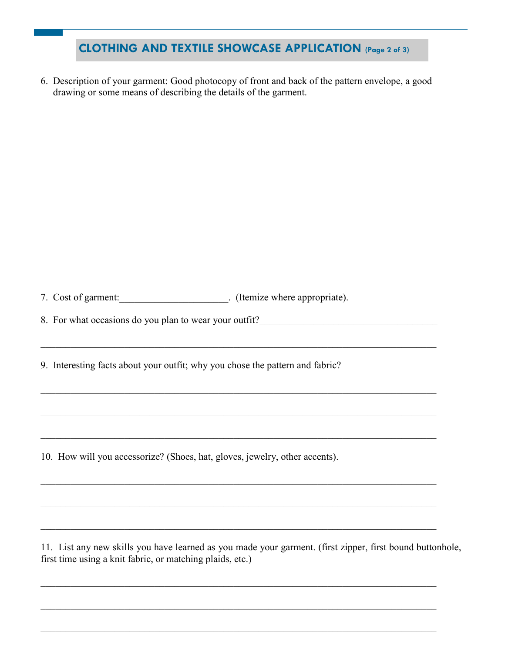# **CLOTHING AND TEXTILE SHOWCASE APPLICATION (Page 2 of 3)**

6. Description of your garment: Good photocopy of front and back of the pattern envelope, a good drawing or some means of describing the details of the garment.

7. Cost of garment: \_\_\_\_\_\_\_\_\_\_\_\_\_\_\_\_\_\_\_\_\_\_\_. (Itemize where appropriate).

8. For what occasions do you plan to wear your outfit?

9. Interesting facts about your outfit; why you chose the pattern and fabric?

 $\_$  , and the contribution of the contribution of the contribution of the contribution of  $\mathcal{L}_\mathcal{A}$ 

 $\_$  , and the contribution of the contribution of the contribution of the contribution of  $\mathcal{L}_\text{max}$ 

 $\mathcal{L}_\mathcal{L} = \{ \mathcal{L}_\mathcal{L} = \{ \mathcal{L}_\mathcal{L} = \{ \mathcal{L}_\mathcal{L} = \{ \mathcal{L}_\mathcal{L} = \{ \mathcal{L}_\mathcal{L} = \{ \mathcal{L}_\mathcal{L} = \{ \mathcal{L}_\mathcal{L} = \{ \mathcal{L}_\mathcal{L} = \{ \mathcal{L}_\mathcal{L} = \{ \mathcal{L}_\mathcal{L} = \{ \mathcal{L}_\mathcal{L} = \{ \mathcal{L}_\mathcal{L} = \{ \mathcal{L}_\mathcal{L} = \{ \mathcal{L}_\mathcal{$ 

 $\_$  , and the contribution of the contribution of the contribution of the contribution of  $\mathcal{L}_\text{max}$ 

 $\mathcal{L}_\mathcal{L} = \{ \mathcal{L}_\mathcal{L} = \{ \mathcal{L}_\mathcal{L} = \{ \mathcal{L}_\mathcal{L} = \{ \mathcal{L}_\mathcal{L} = \{ \mathcal{L}_\mathcal{L} = \{ \mathcal{L}_\mathcal{L} = \{ \mathcal{L}_\mathcal{L} = \{ \mathcal{L}_\mathcal{L} = \{ \mathcal{L}_\mathcal{L} = \{ \mathcal{L}_\mathcal{L} = \{ \mathcal{L}_\mathcal{L} = \{ \mathcal{L}_\mathcal{L} = \{ \mathcal{L}_\mathcal{L} = \{ \mathcal{L}_\mathcal{$ 

 $\_$  , and the contribution of the contribution of the contribution of the contribution of  $\mathcal{L}_\text{max}$ 

 $\_$  , and the contribution of the contribution of the contribution of the contribution of  $\mathcal{L}_\text{max}$ 

 $\_$  , and the contribution of the contribution of the contribution of the contribution of  $\mathcal{L}_\text{max}$ 

 $\_$  , and the contribution of the contribution of the contribution of the contribution of  $\mathcal{L}_\text{max}$ 

 $\mathcal{L}_\mathcal{L} = \{ \mathcal{L}_\mathcal{L} = \{ \mathcal{L}_\mathcal{L} = \{ \mathcal{L}_\mathcal{L} = \{ \mathcal{L}_\mathcal{L} = \{ \mathcal{L}_\mathcal{L} = \{ \mathcal{L}_\mathcal{L} = \{ \mathcal{L}_\mathcal{L} = \{ \mathcal{L}_\mathcal{L} = \{ \mathcal{L}_\mathcal{L} = \{ \mathcal{L}_\mathcal{L} = \{ \mathcal{L}_\mathcal{L} = \{ \mathcal{L}_\mathcal{L} = \{ \mathcal{L}_\mathcal{L} = \{ \mathcal{L}_\mathcal{$ 

10. How will you accessorize? (Shoes, hat, gloves, jewelry, other accents).

11. List any new skills you have learned as you made your garment. (first zipper, first bound buttonhole, first time using a knit fabric, or matching plaids, etc.)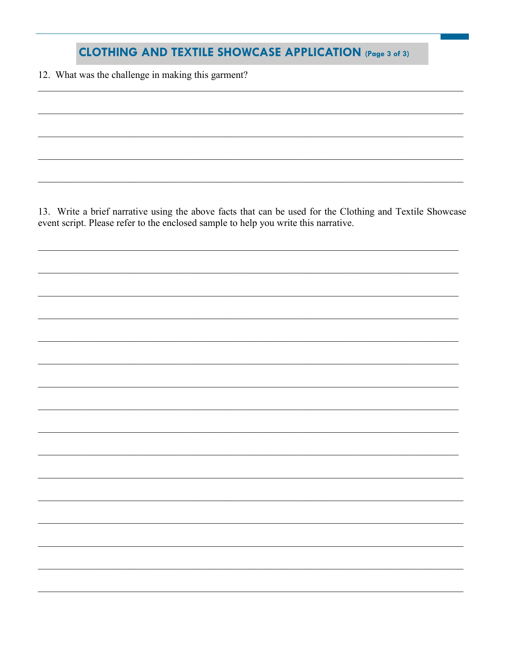## **CLOTHING AND TEXTILE SHOWCASE APPLICATION (Page 3 of 3)**

12. What was the challenge in making this garment?

13. Write a brief narrative using the above facts that can be used for the Clothing and Textile Showcase event script. Please refer to the enclosed sample to help you write this narrative.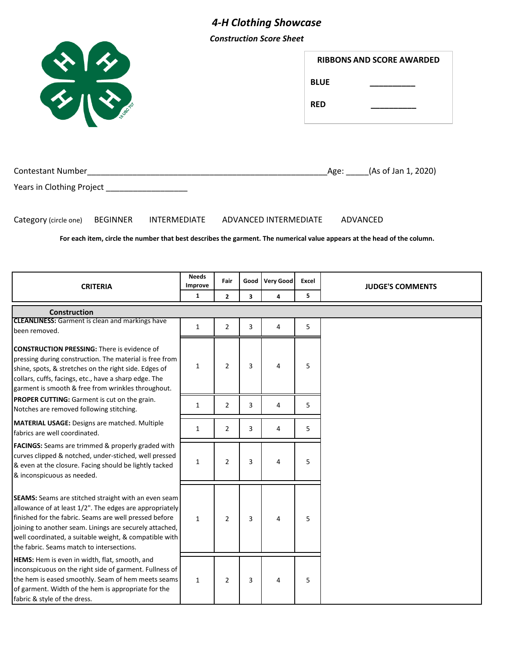# *4-H Clothing Showcase*

*Construction Score Sheet*

| $\frac{1}{\sqrt{2}}$                                                                                                                                                                                                                                                                                                                        |                         |                |      |                       | <b>BLUE</b><br><b>RED</b> | <b>RIBBONS AND SCORE AWARDED</b> |
|---------------------------------------------------------------------------------------------------------------------------------------------------------------------------------------------------------------------------------------------------------------------------------------------------------------------------------------------|-------------------------|----------------|------|-----------------------|---------------------------|----------------------------------|
|                                                                                                                                                                                                                                                                                                                                             |                         |                |      |                       |                           | Age: (As of Jan 1, 2020)         |
| Years in Clothing Project ____________________<br>Category (circle one) BEGINNER<br><b>INTERMEDIATE</b><br>For each item, circle the number that best describes the garment. The numerical value appears at the head of the column.                                                                                                         |                         |                |      | ADVANCED INTERMEDIATE |                           | ADVANCED                         |
| <b>CRITERIA</b>                                                                                                                                                                                                                                                                                                                             | <b>Needs</b><br>Improve | Fair           | Good | Very Good             | Excel                     | <b>JUDGE'S COMMENTS</b>          |
|                                                                                                                                                                                                                                                                                                                                             | $\mathbf{1}$            | $\mathbf{2}$   | 3    | 4                     | 5                         |                                  |
| Construction                                                                                                                                                                                                                                                                                                                                |                         |                |      |                       |                           |                                  |
| <b>CLEANLINESS:</b> Garment is clean and markings have<br>been removed.                                                                                                                                                                                                                                                                     | 1                       | $\overline{2}$ | 3    | 4                     | 5                         |                                  |
| <b>CONSTRUCTION PRESSING:</b> There is evidence of<br>pressing during construction. The material is free from<br>shine, spots, & stretches on the right side. Edges of<br>collars, cuffs, facings, etc., have a sharp edge. The<br>garment is smooth & free from wrinkles throughout.                                                       | 1                       | 2              | 3    | 4                     | 5                         |                                  |
| PROPER CUTTING: Garment is cut on the grain.<br>Notches are removed following stitching.                                                                                                                                                                                                                                                    | 1                       | $\overline{2}$ | 3    | 4                     | 5.                        |                                  |
| MATERIAL USAGE: Designs are matched. Multiple<br>fabrics are well coordinated.                                                                                                                                                                                                                                                              | 1                       | $\overline{2}$ | 3    | 4                     | 5.                        |                                  |
| FACINGS: Seams are trimmed & properly graded with<br>curves clipped & notched, under-stiched, well pressed<br>& even at the closure. Facing should be lightly tacked<br>& inconspicuous as needed.                                                                                                                                          | $\mathbf{1}$            | $\overline{2}$ | 3    | 4                     | 5                         |                                  |
| SEAMS: Seams are stitched straight with an even seam<br>allowance of at least 1/2". The edges are appropriately<br>finished for the fabric. Seams are well pressed before<br>joining to another seam. Linings are securely attached,<br>well coordinated, a suitable weight, & compatible with<br>the fabric. Seams match to intersections. | $\mathbf{1}$            | $\overline{2}$ | 3    | 4                     | 5                         |                                  |
| HEMS: Hem is even in width, flat, smooth, and<br>inconspicuous on the right side of garment. Fullness of<br>the hem is eased smoothly. Seam of hem meets seams<br>of garment. Width of the hem is appropriate for the<br>fabric & style of the dress.                                                                                       | $\mathbf{1}$            | $\overline{2}$ | 3    | 4                     | 5                         |                                  |